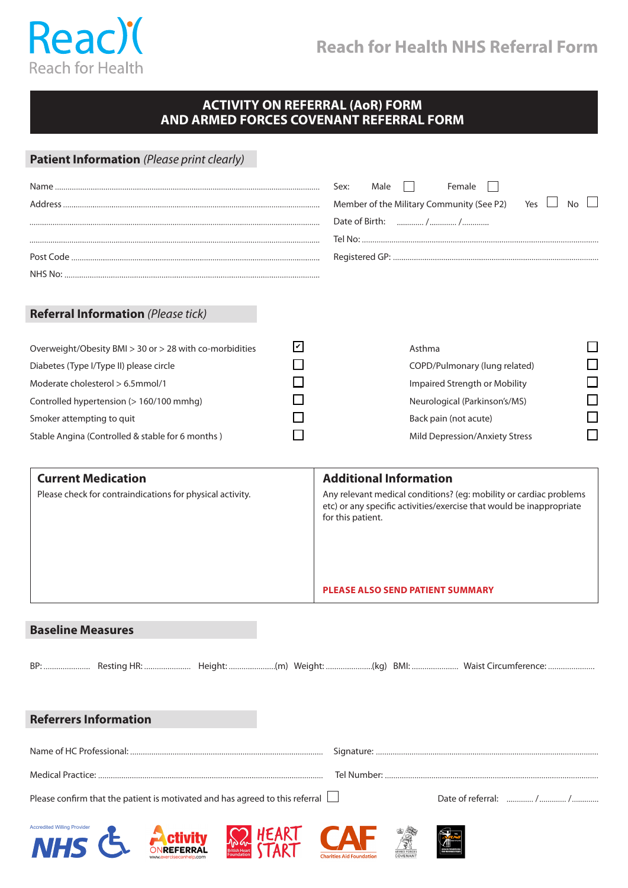

## **Reach for Health NHS Referral Form**

## **ACTIVITY ON REFERRAL (AoR) FORM AND ARMED FORCES COVENANT REFERRAL FORM**

| Patient Information (Please print clearly)                                                                                             |      | Female<br>Sex:<br>Male<br>Member of the Military Community (See P2)<br>Yes  <br>No.                                                                                                              |
|----------------------------------------------------------------------------------------------------------------------------------------|------|--------------------------------------------------------------------------------------------------------------------------------------------------------------------------------------------------|
|                                                                                                                                        |      |                                                                                                                                                                                                  |
|                                                                                                                                        |      |                                                                                                                                                                                                  |
| <b>Referral Information (Please tick)</b>                                                                                              |      |                                                                                                                                                                                                  |
| Overweight/Obesity BMI > 30 or > 28 with co-morbidities<br>Diabetes (Type I/Type II) please circle<br>Moderate cholesterol > 6.5mmol/1 | l۷l  | Asthma<br>COPD/Pulmonary (lung related)<br>Impaired Strength or Mobility                                                                                                                         |
| Controlled hypertension (> 160/100 mmhg)                                                                                               |      | ┐<br>Neurological (Parkinson's/MS)                                                                                                                                                               |
| Smoker attempting to quit                                                                                                              |      | Back pain (not acute)                                                                                                                                                                            |
| Stable Angina (Controlled & stable for 6 months)                                                                                       |      | $\Box$<br>Mild Depression/Anxiety Stress                                                                                                                                                         |
| <b>Current Medication</b><br>Please check for contraindications for physical activity.                                                 |      | <b>Additional Information</b><br>Any relevant medical conditions? (eg: mobility or cardiac problems<br>etc) or any specific activities/exercise that would be inappropriate<br>for this patient. |
|                                                                                                                                        |      | <b>PLEASE ALSO SEND PATIENT SUMMARY</b>                                                                                                                                                          |
| <b>Baseline Measures</b>                                                                                                               |      |                                                                                                                                                                                                  |
| <b>Referrers Information</b>                                                                                                           |      |                                                                                                                                                                                                  |
|                                                                                                                                        |      |                                                                                                                                                                                                  |
|                                                                                                                                        |      |                                                                                                                                                                                                  |
| Please confirm that the patient is motivated and has agreed to this referral                                                           |      |                                                                                                                                                                                                  |
| <b>Accredited Willing Provider</b><br><b>NIHS</b>                                                                                      | HEAR |                                                                                                                                                                                                  |